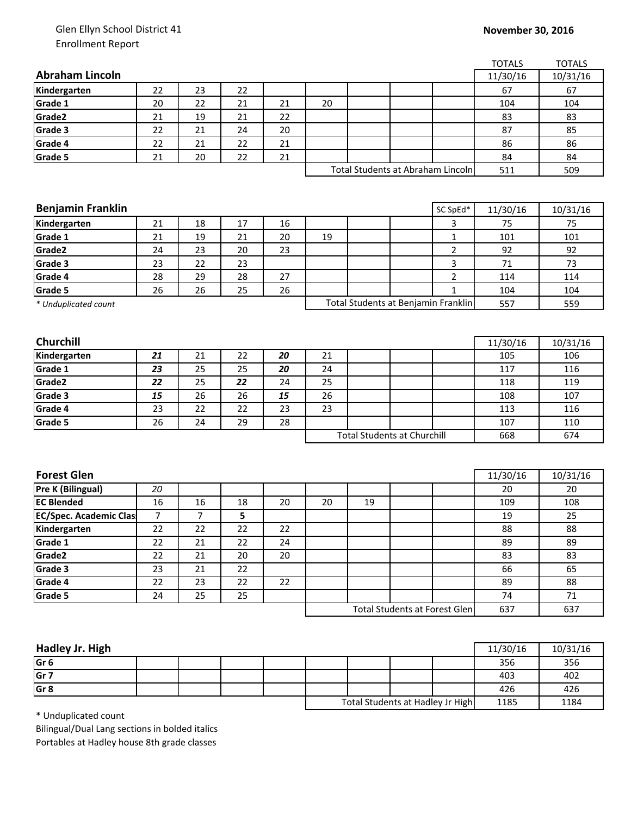## Glen Ellyn School District 41 Enrollment Report

|                                                |    |    |    |    |    |    |                                      |                | <b>TOTALS</b> | <b>TOTALS</b> |
|------------------------------------------------|----|----|----|----|----|----|--------------------------------------|----------------|---------------|---------------|
| <b>Abraham Lincoln</b>                         |    |    |    |    |    |    |                                      |                | 11/30/16      | 10/31/16      |
| Kindergarten                                   | 22 | 23 | 22 |    |    |    |                                      |                | 67            | 67            |
| Grade 1                                        | 20 | 22 | 21 | 21 | 20 |    |                                      |                | 104           | 104           |
| Grade2                                         | 21 | 19 | 21 | 22 |    |    |                                      |                | 83            | 83            |
| Grade 3                                        | 22 | 21 | 24 | 20 |    |    |                                      |                | 87            | 85            |
| Grade 4                                        | 22 | 21 | 22 | 21 |    |    |                                      |                | 86            | 86            |
| Grade 5                                        | 21 | 20 | 22 | 21 |    |    |                                      |                | 84            | 84            |
|                                                |    |    |    |    |    |    | Total Students at Abraham Lincoln    |                | 511           | 509           |
|                                                |    |    |    |    |    |    |                                      |                |               |               |
|                                                |    |    |    |    |    |    |                                      |                |               |               |
| <b>Benjamin Franklin</b>                       |    |    |    |    |    |    |                                      | SC SpEd*       | 11/30/16      | 10/31/16      |
| Kindergarten                                   | 21 | 18 | 17 | 16 |    |    |                                      | 3              | 75            | 75            |
| Grade 1                                        | 21 | 19 | 21 | 20 | 19 |    |                                      | $\mathbf{1}$   | 101           | 101           |
| Grade2                                         | 24 | 23 | 20 | 23 |    |    |                                      | $\overline{2}$ | 92            | 92            |
| Grade 3                                        | 23 | 22 | 23 |    |    |    |                                      | 3              | 71            | 73            |
| Grade 4                                        | 28 | 29 | 28 | 27 |    |    |                                      | $\overline{2}$ | 114           | 114           |
| Grade 5                                        | 26 | 26 | 25 | 26 |    |    |                                      | $\mathbf{1}$   | 104           | 104           |
| * Unduplicated count                           |    |    |    |    |    |    | Total Students at Benjamin Franklin  |                | 557           | 559           |
|                                                |    |    |    |    |    |    |                                      |                |               |               |
|                                                |    |    |    |    |    |    |                                      |                |               |               |
| Churchill                                      |    |    |    |    |    |    |                                      |                | 11/30/16      | 10/31/16      |
| Kindergarten                                   | 21 | 21 | 22 | 20 | 21 |    |                                      |                | 105           | 106           |
| Grade 1                                        | 23 | 25 | 25 | 20 | 24 |    |                                      |                | 117           | 116           |
| Grade <sub>2</sub>                             | 22 | 25 | 22 | 24 | 25 |    |                                      |                | 118           | 119           |
| Grade 3                                        | 15 | 26 | 26 | 15 | 26 |    |                                      |                | 108           | 107           |
| Grade 4                                        | 23 | 22 | 22 | 23 | 23 |    |                                      |                | 113           | 116           |
| Grade 5                                        | 26 | 24 | 29 | 28 |    |    |                                      |                | 107           | 110           |
|                                                |    |    |    |    |    |    | <b>Total Students at Churchill</b>   |                | 668           | 674           |
|                                                |    |    |    |    |    |    |                                      |                |               |               |
|                                                |    |    |    |    |    |    |                                      |                |               |               |
| <b>Forest Glen</b><br><b>Pre K (Bilingual)</b> |    |    |    |    |    |    |                                      |                | 11/30/16      | 10/31/16      |
| <b>EC Blended</b>                              | 20 |    |    |    |    |    |                                      |                | 20            | 20            |
|                                                | 16 | 16 | 18 | 20 | 20 | 19 |                                      |                | 109           | 108           |
| <b>EC/Spec. Academic Clas</b>                  | 7  | 7  | 5  |    |    |    |                                      |                | 19            | 25            |
| Kindergarten                                   | 22 | 22 | 22 | 22 |    |    |                                      |                | 88            | 88            |
| Grade 1                                        | 22 | 21 | 22 | 24 |    |    |                                      |                | 89            | 89            |
| Grade <sub>2</sub>                             | 22 | 21 | 20 | 20 |    |    |                                      |                | 83            | 83            |
| Grade 3                                        | 23 | 21 | 22 |    |    |    |                                      |                | 66            | 65            |
| Grade 4                                        | 22 | 23 | 22 | 22 |    |    |                                      |                | 89            | 88            |
| Grade 5                                        | 24 | 25 | 25 |    |    |    |                                      |                | 74            | 71            |
|                                                |    |    |    |    |    |    | <b>Total Students at Forest Glen</b> |                | 637           | 637           |
|                                                |    |    |    |    |    |    |                                      |                |               |               |

| Hadley Jr. High |  |  |                                  |  |  |      | 11/30/16 | 10/31/16 |
|-----------------|--|--|----------------------------------|--|--|------|----------|----------|
| Gr <sub>6</sub> |  |  |                                  |  |  |      | 356      | 356      |
| Gr 7            |  |  |                                  |  |  |      | 403      | 402      |
| Gr <sub>8</sub> |  |  |                                  |  |  |      | 426      | 426      |
|                 |  |  | Total Students at Hadley Jr High |  |  | 1185 | 1184     |          |

\* Unduplicated count

Bilingual/Dual Lang sections in bolded italics Portables at Hadley house 8th grade classes